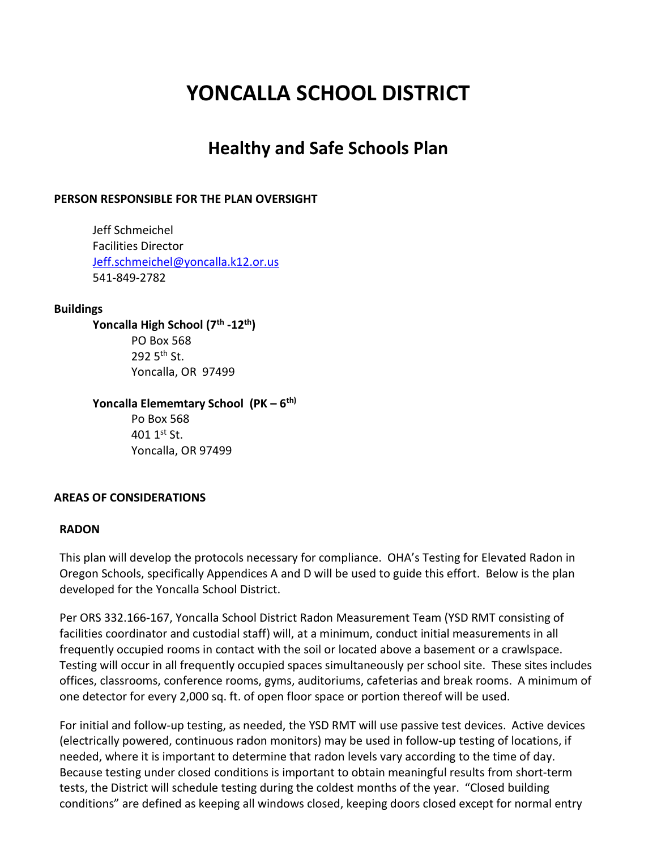# **YONCALLA SCHOOL DISTRICT**

# **Healthy and Safe Schools Plan**

## **PERSON RESPONSIBLE FOR THE PLAN OVERSIGHT**

Jeff Schmeichel Facilities Director [Jeff.schmeichel@yoncalla.k12.or.us](mailto:Jeff.schmeichel@yoncalla.k12.or.us) 541-849-2782

#### **Buildings**

**Yoncalla High School (7th -12th)** PO Box 568 292  $5<sup>th</sup>$  St. Yoncalla, OR 97499

# **Yoncalla Elememtary School (PK – 6 th)**

Po Box 568  $401.1$ <sup>st</sup> St. Yoncalla, OR 97499

## **AREAS OF CONSIDERATIONS**

## **RADON**

This plan will develop the protocols necessary for compliance. OHA's Testing for Elevated Radon in Oregon Schools, specifically Appendices A and D will be used to guide this effort. Below is the plan developed for the Yoncalla School District.

Per ORS 332.166-167, Yoncalla School District Radon Measurement Team (YSD RMT consisting of facilities coordinator and custodial staff) will, at a minimum, conduct initial measurements in all frequently occupied rooms in contact with the soil or located above a basement or a crawlspace. Testing will occur in all frequently occupied spaces simultaneously per school site. These sites includes offices, classrooms, conference rooms, gyms, auditoriums, cafeterias and break rooms. A minimum of one detector for every 2,000 sq. ft. of open floor space or portion thereof will be used.

For initial and follow-up testing, as needed, the YSD RMT will use passive test devices. Active devices (electrically powered, continuous radon monitors) may be used in follow-up testing of locations, if needed, where it is important to determine that radon levels vary according to the time of day. Because testing under closed conditions is important to obtain meaningful results from short-term tests, the District will schedule testing during the coldest months of the year. "Closed building conditions" are defined as keeping all windows closed, keeping doors closed except for normal entry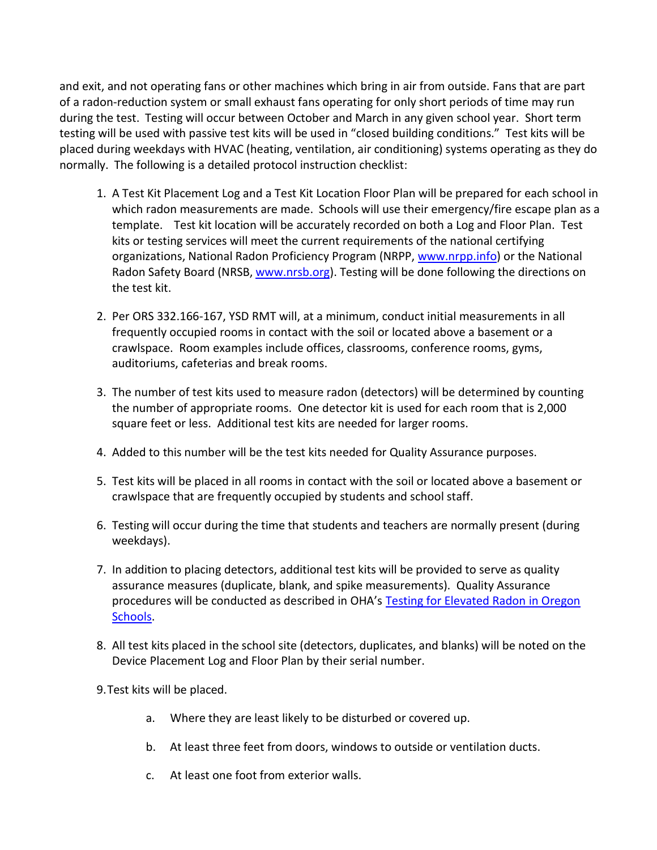and exit, and not operating fans or other machines which bring in air from outside. Fans that are part of a radon-reduction system or small exhaust fans operating for only short periods of time may run during the test. Testing will occur between October and March in any given school year. Short term testing will be used with passive test kits will be used in "closed building conditions." Test kits will be placed during weekdays with HVAC (heating, ventilation, air conditioning) systems operating as they do normally. The following is a detailed protocol instruction checklist:

- 1. A Test Kit Placement Log and a Test Kit Location Floor Plan will be prepared for each school in which radon measurements are made. Schools will use their emergency/fire escape plan as a template. Test kit location will be accurately recorded on both a Log and Floor Plan. Test kits or testing services will meet the current requirements of the national certifying organizations, National Radon Proficiency Program (NRPP, [www.nrpp.info\)](file:///C:/Users/jeleonh/AppData/Local/Microsoft/Windows/Temporary%20Internet%20Files/Content.Outlook/ZY6HU7ZX/www.nrpp.info) or the National Radon Safety Board (NRSB, [www.nrsb.org\)](file:///C:/Users/jeleonh/AppData/Local/Microsoft/Windows/Temporary%20Internet%20Files/Content.Outlook/ZY6HU7ZX/www.nrsb.org). Testing will be done following the directions on the test kit.
- 2. Per ORS 332.166-167, YSD RMT will, at a minimum, conduct initial measurements in all frequently occupied rooms in contact with the soil or located above a basement or a crawlspace. Room examples include offices, classrooms, conference rooms, gyms, auditoriums, cafeterias and break rooms.
- 3. The number of test kits used to measure radon (detectors) will be determined by counting the number of appropriate rooms. One detector kit is used for each room that is 2,000 square feet or less. Additional test kits are needed for larger rooms.
- 4. Added to this number will be the test kits needed for Quality Assurance purposes.
- 5. Test kits will be placed in all rooms in contact with the soil or located above a basement or crawlspace that are frequently occupied by students and school staff.
- 6. Testing will occur during the time that students and teachers are normally present (during weekdays).
- 7. In addition to placing detectors, additional test kits will be provided to serve as quality assurance measures (duplicate, blank, and spike measurements). Quality Assurance procedures will be conducted as described in OHA's Testing for Elevated Radon in Oregon [Schools.](https://public.health.oregon.gov/HealthyEnvironments/HealthyNeighborhoods/RadonGas/Documents/ORv1FINAL-pubs_Testing%20for%20Elevated%20Radon%20in%20Oregon%20Schools%202016.pdf)
- 8. All test kits placed in the school site (detectors, duplicates, and blanks) will be noted on the Device Placement Log and Floor Plan by their serial number.
- 9.Test kits will be placed.
	- a. Where they are least likely to be disturbed or covered up.
	- b. At least three feet from doors, windows to outside or ventilation ducts.
	- c. At least one foot from exterior walls.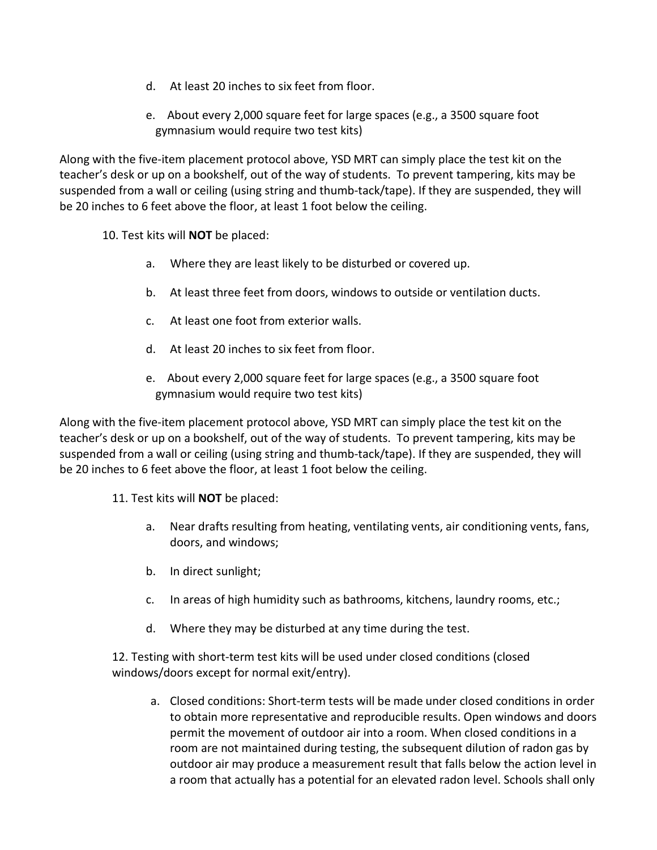- d. At least 20 inches to six feet from floor.
- e. About every 2,000 square feet for large spaces (e.g., a 3500 square foot gymnasium would require two test kits)

Along with the five-item placement protocol above, YSD MRT can simply place the test kit on the teacher's desk or up on a bookshelf, out of the way of students. To prevent tampering, kits may be suspended from a wall or ceiling (using string and thumb-tack/tape). If they are suspended, they will be 20 inches to 6 feet above the floor, at least 1 foot below the ceiling.

10. Test kits will **NOT** be placed:

- a. Where they are least likely to be disturbed or covered up.
- b. At least three feet from doors, windows to outside or ventilation ducts.
- c. At least one foot from exterior walls.
- d. At least 20 inches to six feet from floor.
- e. About every 2,000 square feet for large spaces (e.g., a 3500 square foot gymnasium would require two test kits)

Along with the five-item placement protocol above, YSD MRT can simply place the test kit on the teacher's desk or up on a bookshelf, out of the way of students. To prevent tampering, kits may be suspended from a wall or ceiling (using string and thumb-tack/tape). If they are suspended, they will be 20 inches to 6 feet above the floor, at least 1 foot below the ceiling.

11. Test kits will **NOT** be placed:

- a. Near drafts resulting from heating, ventilating vents, air conditioning vents, fans, doors, and windows;
- b. In direct sunlight;
- c. In areas of high humidity such as bathrooms, kitchens, laundry rooms, etc.;
- d. Where they may be disturbed at any time during the test.

12. Testing with short-term test kits will be used under closed conditions (closed windows/doors except for normal exit/entry).

a. Closed conditions: Short-term tests will be made under closed conditions in order to obtain more representative and reproducible results. Open windows and doors permit the movement of outdoor air into a room. When closed conditions in a room are not maintained during testing, the subsequent dilution of radon gas by outdoor air may produce a measurement result that falls below the action level in a room that actually has a potential for an elevated radon level. Schools shall only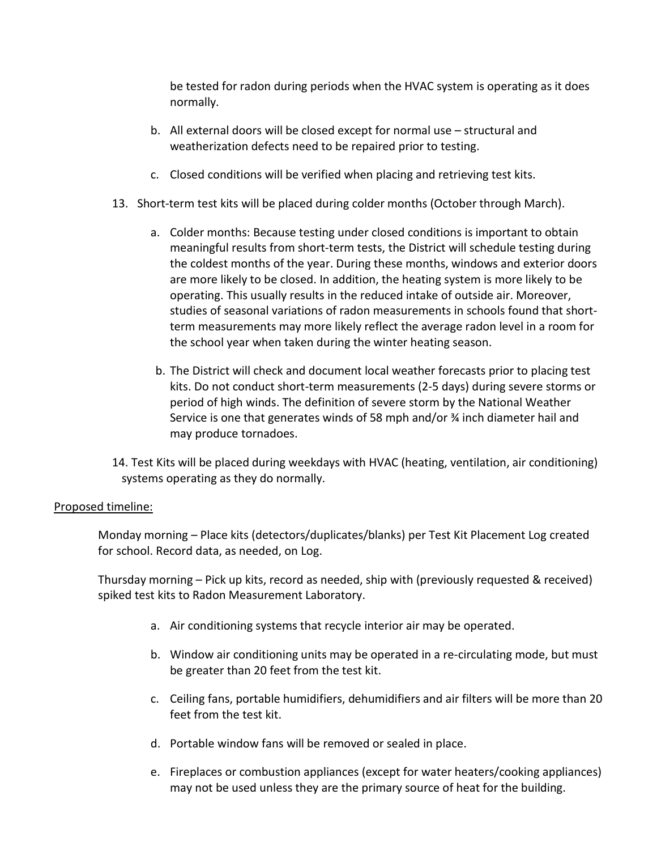be tested for radon during periods when the HVAC system is operating as it does normally.

- b. All external doors will be closed except for normal use structural and weatherization defects need to be repaired prior to testing.
- c. Closed conditions will be verified when placing and retrieving test kits.
- 13. Short-term test kits will be placed during colder months (October through March).
	- a. Colder months: Because testing under closed conditions is important to obtain meaningful results from short-term tests, the District will schedule testing during the coldest months of the year. During these months, windows and exterior doors are more likely to be closed. In addition, the heating system is more likely to be operating. This usually results in the reduced intake of outside air. Moreover, studies of seasonal variations of radon measurements in schools found that shortterm measurements may more likely reflect the average radon level in a room for the school year when taken during the winter heating season.
	- b. The District will check and document local weather forecasts prior to placing test kits. Do not conduct short-term measurements (2-5 days) during severe storms or period of high winds. The definition of severe storm by the National Weather Service is one that generates winds of 58 mph and/or ¾ inch diameter hail and may produce tornadoes.

14. Test Kits will be placed during weekdays with HVAC (heating, ventilation, air conditioning) systems operating as they do normally.

# Proposed timeline:

Monday morning – Place kits (detectors/duplicates/blanks) per Test Kit Placement Log created for school. Record data, as needed, on Log.

Thursday morning – Pick up kits, record as needed, ship with (previously requested & received) spiked test kits to Radon Measurement Laboratory.

- a. Air conditioning systems that recycle interior air may be operated.
- b. Window air conditioning units may be operated in a re-circulating mode, but must be greater than 20 feet from the test kit.
- c. Ceiling fans, portable humidifiers, dehumidifiers and air filters will be more than 20 feet from the test kit.
- d. Portable window fans will be removed or sealed in place.
- e. Fireplaces or combustion appliances (except for water heaters/cooking appliances) may not be used unless they are the primary source of heat for the building.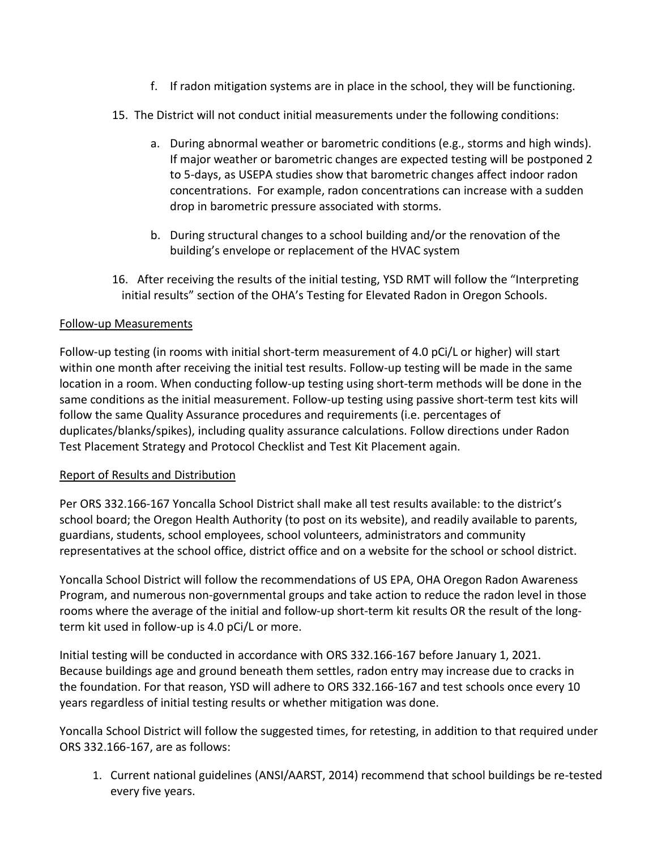- f. If radon mitigation systems are in place in the school, they will be functioning.
- 15. The District will not conduct initial measurements under the following conditions:
	- a. During abnormal weather or barometric conditions (e.g., storms and high winds). If major weather or barometric changes are expected testing will be postponed 2 to 5-days, as USEPA studies show that barometric changes affect indoor radon concentrations. For example, radon concentrations can increase with a sudden drop in barometric pressure associated with storms.
	- b. During structural changes to a school building and/or the renovation of the building's envelope or replacement of the HVAC system
- 16. After receiving the results of the initial testing, YSD RMT will follow the "Interpreting initial results" section of the OHA's Testing for Elevated Radon in Oregon Schools.

# Follow-up Measurements

Follow-up testing (in rooms with initial short-term measurement of 4.0 pCi/L or higher) will start within one month after receiving the initial test results. Follow-up testing will be made in the same location in a room. When conducting follow-up testing using short-term methods will be done in the same conditions as the initial measurement. Follow-up testing using passive short-term test kits will follow the same Quality Assurance procedures and requirements (i.e. percentages of duplicates/blanks/spikes), including quality assurance calculations. Follow directions under Radon Test Placement Strategy and Protocol Checklist and Test Kit Placement again.

# Report of Results and Distribution

Per ORS 332.166-167 Yoncalla School District shall make all test results available: to the district's school board; the Oregon Health Authority (to post on its website), and readily available to parents, guardians, students, school employees, school volunteers, administrators and community representatives at the school office, district office and on a website for the school or school district.

Yoncalla School District will follow the recommendations of US EPA, OHA Oregon Radon Awareness Program, and numerous non-governmental groups and take action to reduce the radon level in those rooms where the average of the initial and follow-up short-term kit results OR the result of the longterm kit used in follow-up is 4.0 pCi/L or more.

Initial testing will be conducted in accordance with ORS 332.166-167 before January 1, 2021. Because buildings age and ground beneath them settles, radon entry may increase due to cracks in the foundation. For that reason, YSD will adhere to ORS 332.166-167 and test schools once every 10 years regardless of initial testing results or whether mitigation was done.

Yoncalla School District will follow the suggested times, for retesting, in addition to that required under ORS 332.166-167, are as follows:

1. Current national guidelines (ANSI/AARST, 2014) recommend that school buildings be re-tested every five years.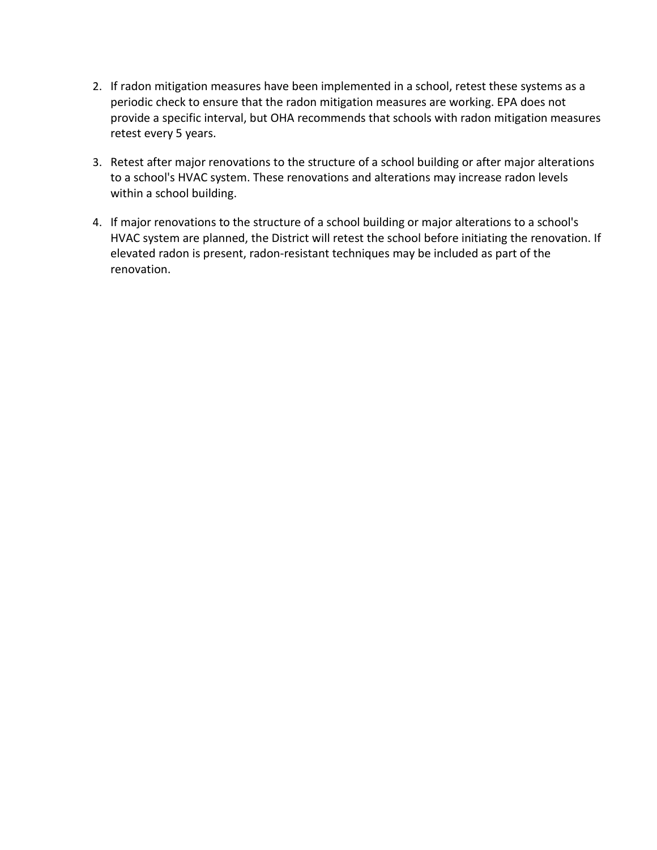- 2. If radon mitigation measures have been implemented in a school, retest these systems as a periodic check to ensure that the radon mitigation measures are working. EPA does not provide a specific interval, but OHA recommends that schools with radon mitigation measures retest every 5 years.
- 3. Retest after major renovations to the structure of a school building or after major alterations to a school's HVAC system. These renovations and alterations may increase radon levels within a school building.
- 4. If major renovations to the structure of a school building or major alterations to a school's HVAC system are planned, the District will retest the school before initiating the renovation. If elevated radon is present, radon-resistant techniques may be included as part of the renovation.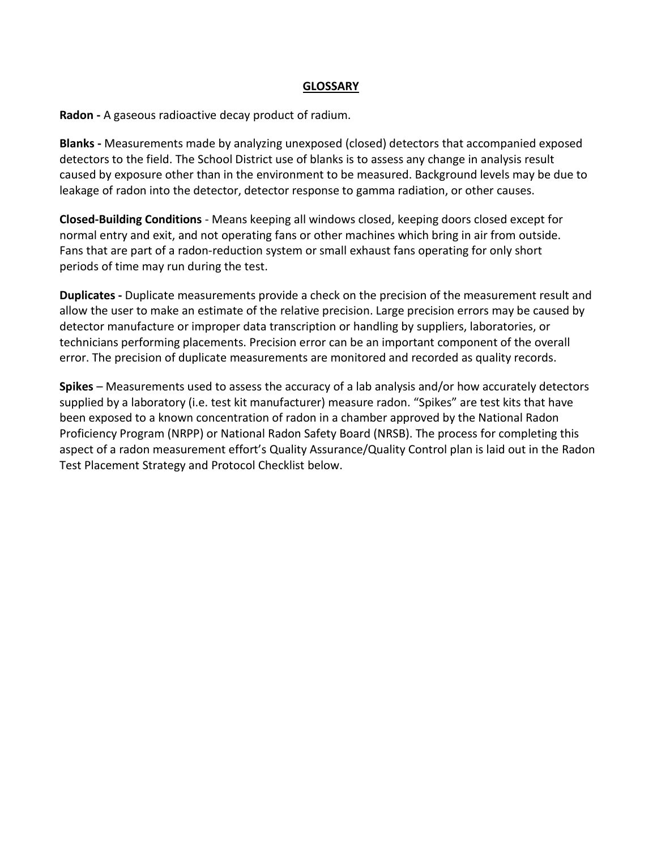#### **GLOSSARY**

**Radon -** A gaseous radioactive decay product of radium.

**Blanks -** Measurements made by analyzing unexposed (closed) detectors that accompanied exposed detectors to the field. The School District use of blanks is to assess any change in analysis result caused by exposure other than in the environment to be measured. Background levels may be due to leakage of radon into the detector, detector response to gamma radiation, or other causes.

**Closed-Building Conditions** - Means keeping all windows closed, keeping doors closed except for normal entry and exit, and not operating fans or other machines which bring in air from outside. Fans that are part of a radon-reduction system or small exhaust fans operating for only short periods of time may run during the test.

**Duplicates -** Duplicate measurements provide a check on the precision of the measurement result and allow the user to make an estimate of the relative precision. Large precision errors may be caused by detector manufacture or improper data transcription or handling by suppliers, laboratories, or technicians performing placements. Precision error can be an important component of the overall error. The precision of duplicate measurements are monitored and recorded as quality records.

**Spikes** – Measurements used to assess the accuracy of a lab analysis and/or how accurately detectors supplied by a laboratory (i.e. test kit manufacturer) measure radon. "Spikes" are test kits that have been exposed to a known concentration of radon in a chamber approved by the National Radon Proficiency Program (NRPP) or National Radon Safety Board (NRSB). The process for completing this aspect of a radon measurement effort's Quality Assurance/Quality Control plan is laid out in the Radon Test Placement Strategy and Protocol Checklist below.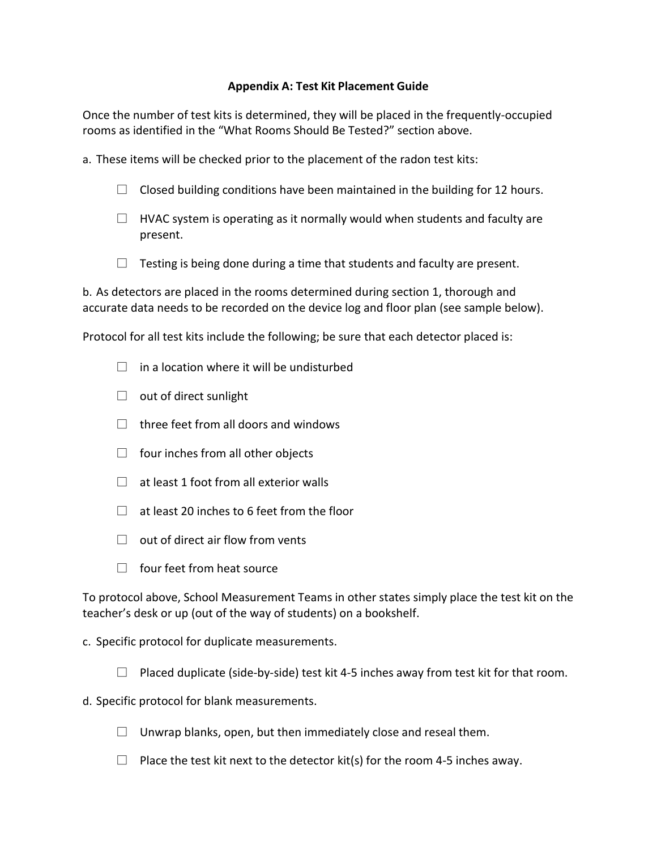# **Appendix A: Test Kit Placement Guide**

Once the number of test kits is determined, they will be placed in the frequently-occupied rooms as identified in the "What Rooms Should Be Tested?" section above.

- a. These items will be checked prior to the placement of the radon test kits:
	- $\Box$  Closed building conditions have been maintained in the building for 12 hours.
	- $\Box$  HVAC system is operating as it normally would when students and faculty are present.
	- $\Box$  Testing is being done during a time that students and faculty are present.

b. As detectors are placed in the rooms determined during section 1, thorough and accurate data needs to be recorded on the device log and floor plan (see sample below).

Protocol for all test kits include the following; be sure that each detector placed is:

- $\Box$  in a location where it will be undisturbed
- $\Box$  out of direct sunlight
- $\Box$  three feet from all doors and windows
- $\Box$  four inches from all other objects
- $\Box$  at least 1 foot from all exterior walls
- $\Box$  at least 20 inches to 6 feet from the floor
- $\Box$  out of direct air flow from vents
- $\Box$  four feet from heat source

To protocol above, School Measurement Teams in other states simply place the test kit on the teacher's desk or up (out of the way of students) on a bookshelf.

- c. Specific protocol for duplicate measurements.
	- $\Box$  Placed duplicate (side-by-side) test kit 4-5 inches away from test kit for that room.
- d. Specific protocol for blank measurements.
	- $\Box$  Unwrap blanks, open, but then immediately close and reseal them.
	- $\Box$  Place the test kit next to the detector kit(s) for the room 4-5 inches away.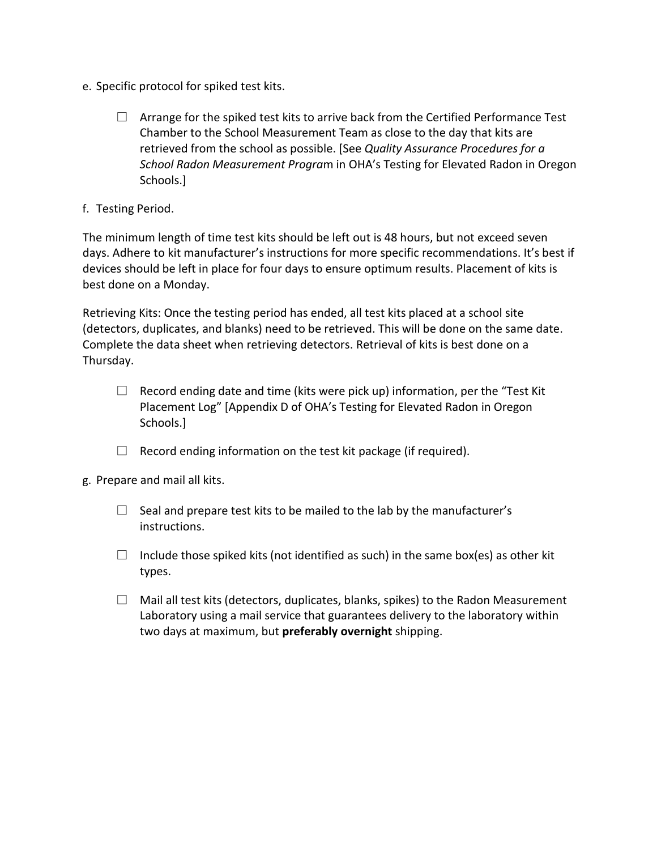- e. Specific protocol for spiked test kits.
	- $\Box$  Arrange for the spiked test kits to arrive back from the Certified Performance Test Chamber to the School Measurement Team as close to the day that kits are retrieved from the school as possible. [See *Quality Assurance Procedures for a School Radon Measurement Progra*m in OHA's Testing for Elevated Radon in Oregon Schools.]
- f. Testing Period.

The minimum length of time test kits should be left out is 48 hours, but not exceed seven days. Adhere to kit manufacturer's instructions for more specific recommendations. It's best if devices should be left in place for four days to ensure optimum results. Placement of kits is best done on a Monday.

Retrieving Kits: Once the testing period has ended, all test kits placed at a school site (detectors, duplicates, and blanks) need to be retrieved. This will be done on the same date. Complete the data sheet when retrieving detectors. Retrieval of kits is best done on a Thursday.

- $\Box$  Record ending date and time (kits were pick up) information, per the "Test Kit" Placement Log" [Appendix D of OHA's Testing for Elevated Radon in Oregon Schools.]
- $\Box$  Record ending information on the test kit package (if required).
- g. Prepare and mail all kits.
	- $\Box$  Seal and prepare test kits to be mailed to the lab by the manufacturer's instructions.
	- $\Box$  Include those spiked kits (not identified as such) in the same box(es) as other kit types.
	- $\Box$  Mail all test kits (detectors, duplicates, blanks, spikes) to the Radon Measurement Laboratory using a mail service that guarantees delivery to the laboratory within two days at maximum, but **preferably overnight** shipping.